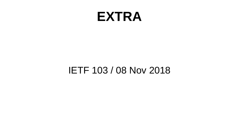#### **EXTRA**

#### IETF 103 / 08 Nov 2018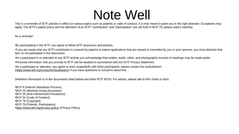#### Note Well

This is a reminder of IETF policies in effect on various topics such as patents or code of conduct. It is only meant to point you in the right direction. Exceptions may apply. The IETF's patent policy and the definition of an IETF "contribution" and "participation" are set forth in BCP 79; please read it carefully.

As a reminder:

•By participating in the IETF, you agree to follow IETF processes and policies.

•If you are aware that any IETF contribution is covered by patents or patent applications that are owned or controlled by you or your sponsor, you must disclose that fact, or not participate in the discussion.

•As a participant in or attendee to any IETF activity you acknowledge that written, audio, video, and photographic records of meetings may be made public.

•Personal information that you provide to IETF will be handled in accordance with the IETF Privacy Statement.

•As a participant or attendee, you agree to work respectfully with other participants; please contact the ombudsteam [\(https://www.ietf.org/contact/ombudsteam/\)](https://www.ietf.org/contact/ombudsteam/) if you have questions or concerns about this.

Definitive information is in the documents listed below and other IETF BCPs. For advice, please talk to WG chairs or ADs:

•BCP 9 (Internet Standards Process) •BCP 25 (Working Group processes) •BCP 25 (Anti-Harassment Procedures) •BCP 54 (Code of Conduct) •BCP 78 (Copyright) •BCP 79 (Patents, Participation) •<https://www.ietf.org/privacy-policy/>(Privacy Policy)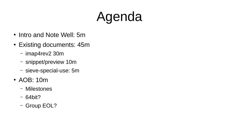# Agenda

- Intro and Note Well: 5m
- Existing documents: 45m
	- imap4rev2 30m
	- snippet/preview 10m
	- sieve-special-use: 5m
- AOB: 10m
	- Milestones
	- 64bit?
	- Group EOL?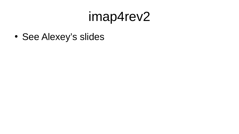### imap4rev2

• See Alexey's slides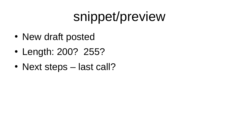## snippet/preview

- New draft posted
- Length: 200? 255?
- Next steps last call?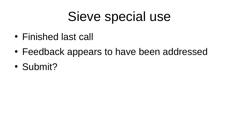## Sieve special use

- Finished last call
- Feedback appears to have been addressed
- Submit?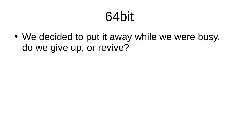## 64bit

• We decided to put it away while we were busy, do we give up, or revive?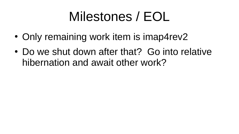## Milestones / EOL

- Only remaining work item is imap4rev2
- Do we shut down after that? Go into relative hibernation and await other work?